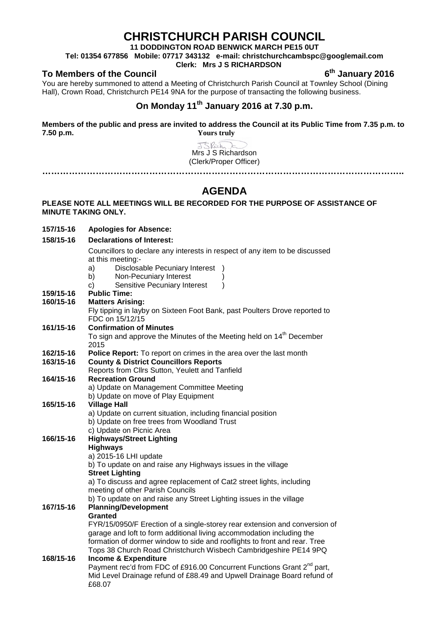# **CHRISTCHURCH PARISH COUNCIL**

**11 DODDINGTON ROAD BENWICK MARCH PE15 0UT**

**Tel: 01354 677856 Mobile: 07717 343132 e-mail: christchurchcambspc@googlemail.com**

### **Clerk: Mrs J S RICHARDSON**

### **To Members of the Council 6th January 2016**

You are hereby summoned to attend a Meeting of Christchurch Parish Council at Townley School (Dining Hall), Crown Road, Christchurch PE14 9NA for the purpose of transacting the following business.

## **On Monday 11th January 2016 at 7.30 p.m.**

**Members of the public and press are invited to address the Council at its Public Time from 7.35 p.m. to 7.50 p.m. Yours truly**

> JSRich Mrs J S Richardson (Clerk/Proper Officer) **…………………………………………………………………………………………………………..**

## **AGENDA**

#### **PLEASE NOTE ALL MEETINGS WILL BE RECORDED FOR THE PURPOSE OF ASSISTANCE OF MINUTE TAKING ONLY.**

- **157/15-16 Apologies for Absence: 158/15-16 Declarations of Interest:** Councillors to declare any interests in respect of any item to be discussed at this meeting: a) Disclosable Pecuniary Interest ) b) Non-Pecuniary Interest c) Sensitive Pecuniary Interest ) **159/15-16 Public Time: Matters Arising:** Fly tipping in layby on Sixteen Foot Bank, past Poulters Drove reported to FDC on 15/12/15 **161/15-16 Confirmation of Minutes** To sign and approve the Minutes of the Meeting held on 14<sup>th</sup> December 2015 **162/15-16 Police Report:** To report on crimes in the area over the last month **163/15-16 County & District Councillors Reports** Reports from Cllrs Sutton, Yeulett and Tanfield **164/15-16 Recreation Ground** a) Update on Management Committee Meeting b) Update on move of Play Equipment **165/15-16 Village Hall** a) Update on current situation, including financial position
- b) Update on free trees from Woodland Trust c) Update on Picnic Area **166/15-16 Highways/Street Lighting Highways** a) 2015-16 LHI update b) To update on and raise any Highways issues in the village **Street Lighting** a) To discuss and agree replacement of Cat2 street lights, including meeting of other Parish Councils b) To update on and raise any Street Lighting issues in the village **167/15-16 Planning/Development Granted** FYR/15/0950/F Erection of a single-storey rear extension and conversion of garage and loft to form additional living accommodation including the formation of dormer window to side and rooflights to front and rear. Tree Tops 38 Church Road Christchurch Wisbech Cambridgeshire PE14 9PQ **168/15-16 Income & Expenditure** Payment rec'd from FDC of £916.00 Concurrent Functions Grant 2<sup>nd</sup> part, Mid Level Drainage refund of £88.49 and Upwell Drainage Board refund of £68.07